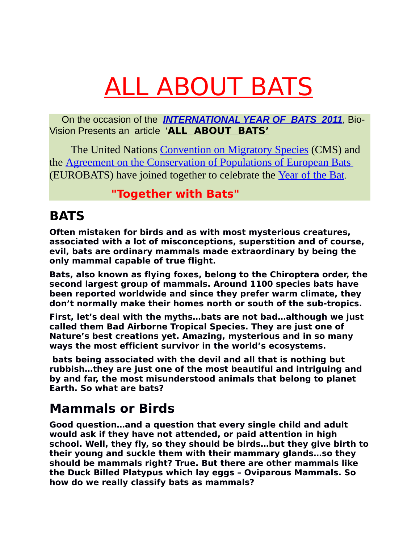# ALL ABOUT BATS

 On the occasion of the *INTERNATIONAL YEAR OF BATS 2011*, Bio-Vision Presents an article '**ALL ABOUT BATS'**

 The United Nations [Convention on Migratory Species](http://www.cms.int/) (CMS) and the [Agreement on the Conservation of Populations of European Bats](http://www.eurobats.org/) (EUROBATS) have joined together to celebrate the [Year of the Bat](http://www.yearofthebat.org/).

#### **"Together with Bats"**

#### **BATS**

**Often mistaken for birds and as with most mysterious creatures, associated with a lot of misconceptions, superstition and of course, evil, bats are ordinary mammals made extraordinary by being the only mammal capable of true flight.**

**Bats, also known as flying foxes, belong to the Chiroptera order, the second largest group of mammals. Around 1100 species bats have been reported worldwide and since they prefer warm climate, they don't normally make their homes north or south of the sub-tropics.** 

**First, let's deal with the myths…bats are not bad…although we just called them Bad Airborne Tropical Species. They are just one of Nature's best creations yet. Amazing, mysterious and in so many ways the most efficient survivor in the world's ecosystems.** 

 **bats being associated with the devil and all that is nothing but rubbish…they are just one of the most beautiful and intriguing and by and far, the most misunderstood animals that belong to planet Earth. So what are bats?**

#### **Mammals or Birds**

**Good question…and a question that every single child and adult would ask if they have not attended, or paid attention in high school. Well, they fly, so they should be birds…but they give birth to their young and suckle them with their mammary glands…so they should be mammals right? True. But there are other mammals like the Duck Billed Platypus which lay eggs – Oviparous Mammals. So how do we really classify bats as mammals?**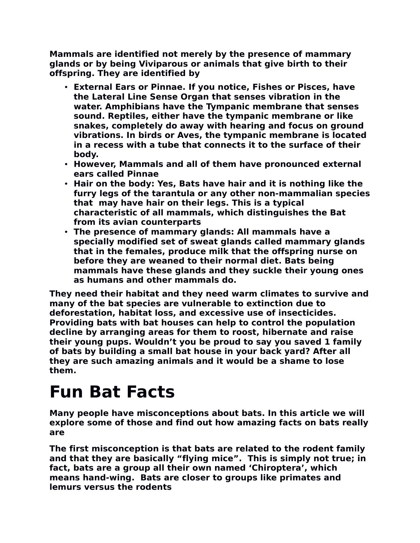**Mammals are identified not merely by the presence of mammary glands or by being Viviparous or animals that give birth to their offspring. They are identified by** 

- **External Ears or Pinnae. If you notice, Fishes or Pisces, have the Lateral Line Sense Organ that senses vibration in the water. Amphibians have the Tympanic membrane that senses sound. Reptiles, either have the tympanic membrane or like snakes, completely do away with hearing and focus on ground vibrations. In birds or Aves, the tympanic membrane is located in a recess with a tube that connects it to the surface of their body.**
- **However, Mammals and all of them have pronounced external ears called Pinnae**
- **Hair on the body: Yes, Bats have hair and it is nothing like the furry legs of the tarantula or any other non-mammalian species that may have hair on their legs. This is a typical characteristic of all mammals, which distinguishes the Bat from its avian counterparts**
- **The presence of mammary glands: All mammals have a specially modified set of sweat glands called mammary glands that in the females, produce milk that the offspring nurse on before they are weaned to their normal diet. Bats being mammals have these glands and they suckle their young ones as humans and other mammals do.**

**They need their habitat and they need warm climates to survive and many of the bat species are vulnerable to extinction due to deforestation, habitat loss, and excessive use of insecticides. Providing bats with bat houses can help to control the population decline by arranging areas for them to roost, hibernate and raise their young pups. Wouldn't you be proud to say you saved 1 family of bats by building a small bat house in your back yard? After all they are such amazing animals and it would be a shame to lose them.**

### **Fun Bat Facts**

**Many people have misconceptions about bats. In this article we will explore some of those and find out how amazing facts on bats really are**

**The first misconception is that bats are related to the rodent family and that they are basically "flying mice". This is simply not true; in fact, bats are a group all their own named 'Chiroptera', which means hand-wing. Bats are closer to groups like primates and lemurs versus the rodents**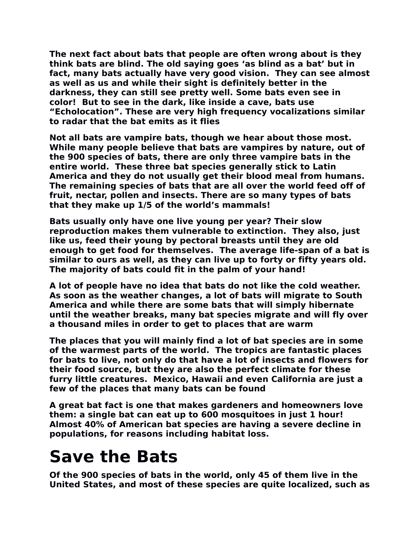**The next fact about bats that people are often wrong about is they think bats are blind. The old saying goes 'as blind as a bat' but in fact, many bats actually have very good vision. They can see almost as well as us and while their sight is definitely better in the darkness, they can still see pretty well. Some bats even see in color! But to see in the dark, like inside a cave, bats use "Echolocation". These are very high frequency vocalizations similar to radar that the bat emits as it flies**

**Not all bats are vampire bats, though we hear about those most. While many people believe that bats are vampires by nature, out of the 900 species of bats, there are only three vampire bats in the entire world. These three bat species generally stick to Latin America and they do not usually get their blood meal from humans. The remaining species of bats that are all over the world feed off of fruit, nectar, pollen and insects. There are so many types of bats that they make up 1/5 of the world's mammals!** 

**Bats usually only have one live young per year? Their slow reproduction makes them vulnerable to extinction. They also, just like us, feed their young by pectoral breasts until they are old enough to get food for themselves. The average life-span of a bat is similar to ours as well, as they can live up to forty or fifty years old. The majority of bats could fit in the palm of your hand!**

**A lot of people have no idea that bats do not like the cold weather. As soon as the weather changes, a lot of bats will migrate to South America and while there are some bats that will simply hibernate until the weather breaks, many bat species migrate and will fly over a thousand miles in order to get to places that are warm**

**The places that you will mainly find a lot of bat species are in some of the warmest parts of the world. The tropics are fantastic places for bats to live, not only do that have a lot of insects and flowers for their food source, but they are also the perfect climate for these furry little creatures. Mexico, Hawaii and even California are just a few of the places that many bats can be found**

**A great bat fact is one that makes gardeners and homeowners love them: a single bat can eat up to 600 mosquitoes in just 1 hour! Almost 40% of American bat species are having a severe decline in populations, for reasons including habitat loss.** 

### **Save the Bats**

**Of the 900 species of bats in the world, only 45 of them live in the United States, and most of these species are quite localized, such as**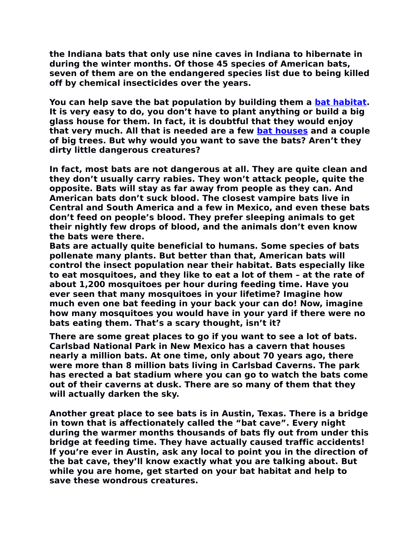**the Indiana bats that only use nine caves in Indiana to hibernate in during the winter months. Of those 45 species of American bats, seven of them are on the endangered species list due to being killed off by chemical insecticides over the years.**

**You can help save the bat population by building them a [bat habitat.](http://www.about-bats.com/bat-houses-for-sale.html) It is very easy to do, you don't have to plant anything or build a big glass house for them. In fact, it is doubtful that they would enjoy that very much. All that is needed are a few [bat houses](http://www.about-bats.com/bat-houses-for-sale.html) and a couple of big trees. But why would you want to save the bats? Aren't they dirty little dangerous creatures?**

**In fact, most bats are not dangerous at all. They are quite clean and they don't usually carry rabies. They won't attack people, quite the opposite. Bats will stay as far away from people as they can. And American bats don't suck blood. The closest vampire bats live in Central and South America and a few in Mexico, and even these bats don't feed on people's blood. They prefer sleeping animals to get their nightly few drops of blood, and the animals don't even know the bats were there.**

**Bats are actually quite beneficial to humans. Some species of bats pollenate many plants. But better than that, American bats will control the insect population near their habitat. Bats especially like to eat mosquitoes, and they like to eat a lot of them – at the rate of about 1,200 mosquitoes per hour during feeding time. Have you ever seen that many mosquitoes in your lifetime? Imagine how much even one bat feeding in your back your can do! Now, imagine how many mosquitoes you would have in your yard if there were no bats eating them. That's a scary thought, isn't it?**

**There are some great places to go if you want to see a lot of bats. Carlsbad National Park in New Mexico has a cavern that houses nearly a million bats. At one time, only about 70 years ago, there were more than 8 million bats living in Carlsbad Caverns. The park has erected a bat stadium where you can go to watch the bats come out of their caverns at dusk. There are so many of them that they will actually darken the sky.**

**Another great place to see bats is in Austin, Texas. There is a bridge in town that is affectionately called the "bat cave". Every night during the warmer months thousands of bats fly out from under this bridge at feeding time. They have actually caused traffic accidents! If you're ever in Austin, ask any local to point you in the direction of the bat cave, they'll know exactly what you are talking about. But while you are home, get started on your bat habitat and help to save these wondrous creatures.**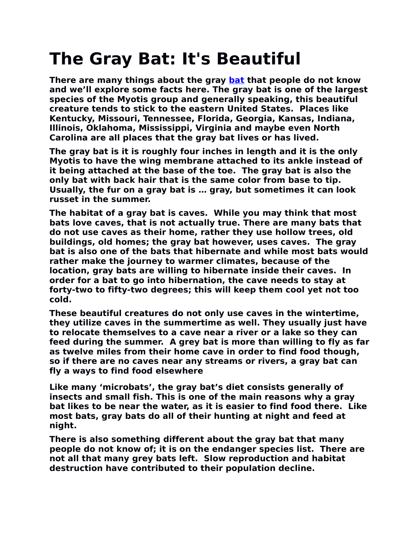# **The Gray Bat: It's Beautiful**

**There are many things about the gray [bat](http://www.about-bats.com/index.html) that people do not know and we'll explore some facts here. The gray bat is one of the largest species of the Myotis group and generally speaking, this beautiful creature tends to stick to the eastern United States. Places like Kentucky, Missouri, Tennessee, Florida, Georgia, Kansas, Indiana, Illinois, Oklahoma, Mississippi, Virginia and maybe even North Carolina are all places that the gray bat lives or has lived.**

**The gray bat is it is roughly four inches in length and it is the only Myotis to have the wing membrane attached to its ankle instead of it being attached at the base of the toe. The gray bat is also the only bat with back hair that is the same color from base to tip. Usually, the fur on a gray bat is … gray, but sometimes it can look russet in the summer.**

**The habitat of a gray bat is caves. While you may think that most bats love caves, that is not actually true. There are many bats that do not use caves as their home, rather they use hollow trees, old buildings, old homes; the gray bat however, uses caves. The gray bat is also one of the bats that hibernate and while most bats would rather make the journey to warmer climates, because of the location, gray bats are willing to hibernate inside their caves. In order for a bat to go into hibernation, the cave needs to stay at forty-two to fifty-two degrees; this will keep them cool yet not too cold.**

**These beautiful creatures do not only use caves in the wintertime, they utilize caves in the summertime as well. They usually just have to relocate themselves to a cave near a river or a lake so they can feed during the summer. A grey bat is more than willing to fly as far as twelve miles from their home cave in order to find food though, so if there are no caves near any streams or rivers, a gray bat can fly a ways to find food elsewhere**

**Like many 'microbats', the gray bat's diet consists generally of insects and small fish. This is one of the main reasons why a gray bat likes to be near the water, as it is easier to find food there. Like most bats, gray bats do all of their hunting at night and feed at night.**

**There is also something different about the gray bat that many people do not know of; it is on the endanger species list. There are not all that many grey bats left. Slow reproduction and habitat destruction have contributed to their population decline.**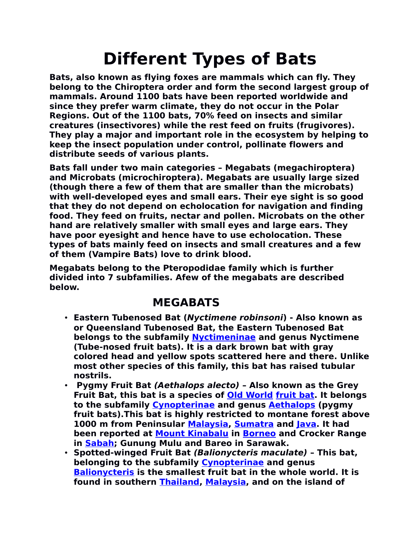# **Different Types of Bats**

**Bats, also known as flying foxes are mammals which can fly. They belong to the Chiroptera order and form the second largest group of mammals. Around 1100 bats have been reported worldwide and since they prefer warm climate, they do not occur in the Polar Regions. Out of the 1100 bats, 70% feed on insects and similar creatures (insectivores) while the rest feed on fruits (frugivores). They play a major and important role in the ecosystem by helping to keep the insect population under control, pollinate flowers and distribute seeds of various plants.** 

**Bats fall under two main categories – Megabats (megachiroptera) and Microbats (microchiroptera). Megabats are usually large sized (though there a few of them that are smaller than the microbats) with well-developed eyes and small ears. Their eye sight is so good that they do not depend on echolocation for navigation and finding food. They feed on fruits, nectar and pollen. Microbats on the other hand are relatively smaller with small eyes and large ears. They have poor eyesight and hence have to use echolocation. These types of bats mainly feed on insects and small creatures and a few of them (Vampire Bats) love to drink blood.**

**Megabats belong to the Pteropodidae family which is further divided into 7 subfamilies. Afew of the megabats are described below.**

#### **MEGABATS**

- **Eastern Tubenosed Bat (Nyctimene robinsoni) Also known as or Queensland Tubenosed Bat, the Eastern Tubenosed Bat belongs to the subfamily [Nyctimeninae](http://en.wikipedia.org/w/index.php?title=Nyctimeninae&action=edit&redlink=1) and genus Nyctimene (Tube-nosed fruit bats). It is a dark brown bat with gray colored head and yellow spots scattered here and there. Unlike most other species of this family, this bat has raised tubular nostrils.**
- **Pygmy Fruit Bat (Aethalops alecto) Also known as the Grey Fruit Bat, this bat is a species of [Old World](http://en.wikipedia.org/wiki/Old_World) [fruit bat.](http://en.wikipedia.org/wiki/Fruit_bat) It belongs to the subfamily [Cynopterinae](http://en.wikipedia.org/w/index.php?title=Cynopterinae&action=edit&redlink=1) and genus [Aethalops](http://en.wikipedia.org/wiki/Aethalops) (pygmy fruit bats).This bat is highly restricted to montane forest above 1000 m from Peninsular [Malaysia,](http://en.wikipedia.org/wiki/Malaysia) [Sumatra](http://en.wikipedia.org/wiki/Sumatra) and [Java.](http://en.wikipedia.org/wiki/Java) It had been reported at [Mount Kinabalu](http://en.wikipedia.org/wiki/Mount_Kinabalu) in [Borneo](http://en.wikipedia.org/wiki/Borneo) and Crocker Range in [Sabah;](http://en.wikipedia.org/wiki/Sabah) Gunung Mulu and Bareo in Sarawak.**
- **Spotted-winged Fruit Bat (Balionycteris maculate) This bat, belonging to the subfamily [Cynopterinae](http://en.wikipedia.org/w/index.php?title=Cynopterinae&action=edit&redlink=1) and genus [Balionycteris](http://en.wikipedia.org/wiki/Balionycteris) is the smallest fruit bat in the whole world. It is found in southern [Thailand,](http://en.wikipedia.org/wiki/Thailand) [Malaysia,](http://en.wikipedia.org/wiki/Malaysia) and on the island of**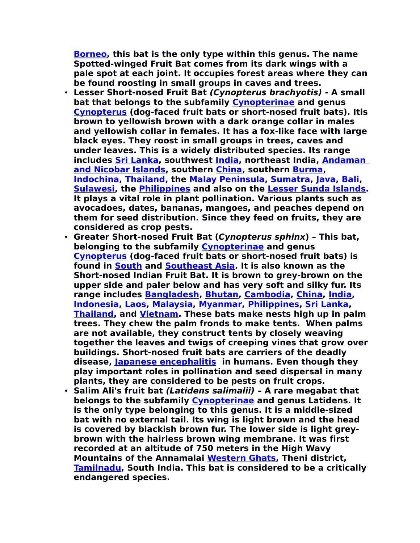**[Borneo,](http://en.wikipedia.org/wiki/Borneo) this bat is the only type within this genus. The name Spotted-winged Fruit Bat comes from its dark wings with a pale spot at each joint. It occupies forest areas where they can be found roosting in small groups in caves and trees.** 

- **Lesser Short-nosed Fruit Bat (Cynopterus brachyotis) A small bat that belongs to the subfamily [Cynopterinae](http://en.wikipedia.org/w/index.php?title=Cynopterinae&action=edit&redlink=1) and genus [Cynopterus](http://en.wikipedia.org/wiki/Cynopterus) (dog-faced fruit bats or short-nosed fruit bats). Itis brown to yellowish brown with a dark orange collar in males and yellowish collar in females. It has a fox-like face with large black eyes. They roost in small groups in trees, caves and under leaves. This is a widely distributed species. Its range includes [Sri Lanka,](http://en.wikipedia.org/wiki/Sri_Lanka) southwest [India,](http://en.wikipedia.org/wiki/India) northeast India, [Andaman](http://en.wikipedia.org/wiki/Andaman_and_Nicobar_Islands) [and Nicobar Islands,](http://en.wikipedia.org/wiki/Andaman_and_Nicobar_Islands) southern [China,](http://en.wikipedia.org/wiki/China) southern [Burma,](http://en.wikipedia.org/wiki/Burma) [Indochina,](http://en.wikipedia.org/wiki/Indochina) [Thailand,](http://en.wikipedia.org/wiki/Thailand) the [Malay Peninsula,](http://en.wikipedia.org/wiki/Malay_Peninsula) [Sumatra,](http://en.wikipedia.org/wiki/Sumatra) [Java,](http://en.wikipedia.org/wiki/Java) [Bali,](http://en.wikipedia.org/wiki/Bali) [Sulawesi,](http://en.wikipedia.org/wiki/Sulawesi) the [Philippines](http://en.wikipedia.org/wiki/Philippines) and also on the [Lesser Sunda Islands.](http://en.wikipedia.org/wiki/Lesser_Sunda_Islands) It plays a vital role in plant pollination. Various plants such as avocadoes, dates, bananas, mangoes, and peaches depend on them for seed distribution. Since they feed on fruits, they are considered as crop pests.**
- **Greater Short-nosed Fruit Bat (Cynopterus sphinx) This bat, belonging to the subfamily [Cynopterinae](http://en.wikipedia.org/w/index.php?title=Cynopterinae&action=edit&redlink=1) and genus [Cynopterus](http://en.wikipedia.org/wiki/Cynopterus) (dog-faced fruit bats or short-nosed fruit bats) is found in [South](http://en.wikipedia.org/wiki/South_Asia) and [Southeast Asia.](http://en.wikipedia.org/wiki/Southeast_Asia) It is also known as the Short-nosed Indian Fruit Bat. It is brown to grey-brown on the upper side and paler below and has very soft and silky fur. Its range includes [Bangladesh,](http://en.wikipedia.org/wiki/Bangladesh) [Bhutan,](http://en.wikipedia.org/wiki/Bhutan) [Cambodia,](http://en.wikipedia.org/wiki/Cambodia) [China,](http://en.wikipedia.org/wiki/China) [India,](http://en.wikipedia.org/wiki/India) [Indonesia,](http://en.wikipedia.org/wiki/Indonesia) [Laos,](http://en.wikipedia.org/wiki/Laos) [Malaysia,](http://en.wikipedia.org/wiki/Malaysia) [Myanmar,](http://en.wikipedia.org/wiki/Myanmar) [Philippines,](http://en.wikipedia.org/wiki/Philippines) [Sri Lanka,](http://en.wikipedia.org/wiki/Sri_Lanka) [Thailand,](http://en.wikipedia.org/wiki/Thailand) and [Vietnam.](http://en.wikipedia.org/wiki/Vietnam) These bats make nests high up in palm trees. They chew the palm fronds to make tents. When palms are not available, they construct tents by closely weaving together the leaves and twigs of creeping vines that grow over buildings. Short-nosed fruit bats are carriers of the deadly disease, [Japanese encephalitis](http://en.wikipedia.org/wiki/Japanese_encephalitis) in humans. Even though they play important roles in pollination and seed dispersal in many plants, they are considered to be pests on fruit crops.**
- **Salim Ali's fruit bat (Latidens salimalii) A rare megabat that belongs to the subfamily [Cynopterinae](http://en.wikipedia.org/w/index.php?title=Cynopterinae&action=edit&redlink=1) and genus Latidens. It is the only type belonging to this genus. It is a middle-sized bat with no external tail. Its wing is light brown and the head is covered by blackish brown fur. The lower side is light greybrown with the hairless brown wing membrane. It was first recorded at an altitude of 750 meters in the High Wavy Mountains of the Annamalai [Western Ghats,](http://en.wikipedia.org/wiki/Western_Ghats) Theni district, [Tamilnadu,](http://en.wikipedia.org/wiki/Tamilnadu) South India. This bat is considered to be a critically endangered species.**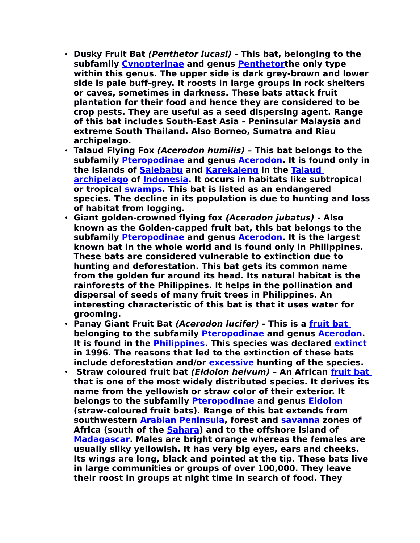- **Dusky Fruit Bat (Penthetor lucasi) This bat, belonging to the subfamily [Cynopterinae](http://en.wikipedia.org/w/index.php?title=Cynopterinae&action=edit&redlink=1) and genus [Penthetort](http://en.wikipedia.org/wiki/Penthetor)he only type within this genus. The upper side is dark grey-brown and lower side is pale buff-grey. It roosts in large groups in rock shelters or caves, sometimes in darkness. These bats attack fruit plantation for their food and hence they are considered to be crop pests. They are useful as a seed dispersing agent. Range of this bat includes South-East Asia - Peninsular Malaysia and extreme South Thailand. Also Borneo, Sumatra and Riau archipelago.**
- **Talaud Flying Fox (Acerodon humilis) This bat belongs to the subfamily [Pteropodinae](http://en.wikipedia.org/wiki/Pteropodinae) and genus [Acerodon.](http://en.wikipedia.org/wiki/Acerodon) It is found only in the islands of [Salebabu](http://en.wikipedia.org/w/index.php?title=Salebabu&action=edit&redlink=1) and [Karekaleng](http://en.wikipedia.org/w/index.php?title=Karekaleng&action=edit&redlink=1) in the [Talaud](http://en.wikipedia.org/wiki/Talaud_Islands) [archipelago](http://en.wikipedia.org/wiki/Talaud_Islands) of [Indonesia.](http://en.wikipedia.org/wiki/Indonesia) It occurs in habitats like subtropical or tropical [swamps.](http://en.wikipedia.org/wiki/Swamp) This bat is listed as an endangered species. The decline in its population is due to hunting and loss of habitat from logging.**
- **Giant golden-crowned flying fox (Acerodon jubatus) Also known as the Golden-capped fruit bat, this bat belongs to the subfamily [Pteropodinae](http://en.wikipedia.org/wiki/Pteropodinae) and genus [Acerodon.](http://en.wikipedia.org/wiki/Acerodon) It is the largest known bat in the whole world and is found only in Philippines. These bats are considered vulnerable to extinction due to hunting and deforestation. This bat gets its common name from the golden fur around its head. Its natural habitat is the rainforests of the Philippines. It helps in the pollination and dispersal of seeds of many fruit trees in Philippines. An interesting characteristic of this bat is that it uses water for grooming.**
- **Panay Giant Fruit Bat (Acerodon lucifer) This is a [fruit bat](http://en.wikipedia.org/wiki/Fruit_bat) belonging to the subfamily [Pteropodinae](http://en.wikipedia.org/wiki/Pteropodinae) and genus [Acerodon.](http://en.wikipedia.org/wiki/Acerodon) It is found in the [Philippines.](http://en.wikipedia.org/wiki/Philippines) This species was declared [extinct](http://en.wikipedia.org/wiki/Extinct) in 1996. The reasons that led to the extinction of these bats include deforestation and/or [excessive](http://en.wikipedia.org/wiki/Hunting) hunting of the species.**
- **Straw coloured fruit bat (Eidolon helvum) An African [fruit bat](http://en.wikipedia.org/wiki/Megabat) that is one of the most widely distributed species. It derives its name from the yellowish or straw color of their exterior. It belongs to the subfamily [Pteropodinae](http://en.wikipedia.org/wiki/Pteropodinae) and genus [Eidolon](http://en.wikipedia.org/wiki/Eidolon_(genus)) (straw-coloured fruit bats). Range of this bat extends from southwestern [Arabian Peninsula,](http://en.wikipedia.org/wiki/Arabian_Peninsula) forest and [savanna](http://en.wikipedia.org/wiki/Savanna) zones of Africa (south of the [Sahara\)](http://en.wikipedia.org/wiki/Sahara) and to the offshore island of [Madagascar.](http://en.wikipedia.org/wiki/Madagascar) Males are bright orange whereas the females are usually silky yellowish. It has very big eyes, ears and cheeks. Its wings are long, black and pointed at the tip. These bats live in large communities or groups of over 100,000. They leave their roost in groups at night time in search of food. They**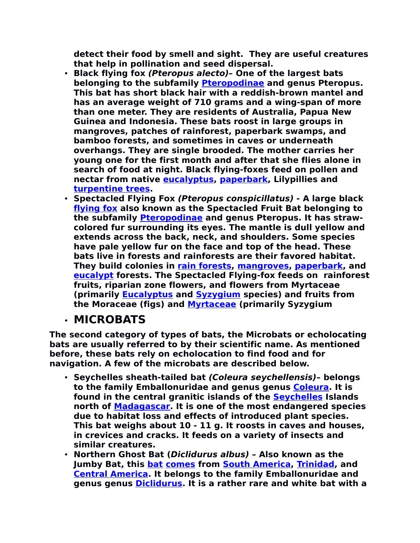**detect their food by smell and sight. They are useful creatures that help in pollination and seed dispersal.** 

- **Black flying fox (Pteropus alecto)– One of the largest bats belonging to the subfamily [Pteropodinae](http://en.wikipedia.org/wiki/Pteropodinae) and genus Pteropus. This bat has short black hair with a reddish-brown mantel and has an average weight of 710 grams and a wing-span of more than one meter. They are residents of Australia, Papua New Guinea and Indonesia. These bats roost in large groups in mangroves, patches of rainforest, paperbark swamps, and bamboo forests, and sometimes in caves or underneath overhangs. They are single brooded. The mother carries her young one for the first month and after that she flies alone in search of food at night. Black flying-foxes feed on pollen and nectar from native [eucalyptus,](http://en.wikipedia.org/wiki/Eucalyptus) [paperbark,](http://en.wikipedia.org/wiki/Melaleuca) Lilypillies and [turpentine trees.](http://en.wikipedia.org/wiki/Turpentine_tree)**
- **Spectacled Flying Fox (Pteropus conspicillatus) A large black [flying fox](http://en.wikipedia.org/wiki/Flying_fox) also known as the Spectacled Fruit Bat belonging to the subfamily [Pteropodinae](http://en.wikipedia.org/wiki/Pteropodinae) and genus Pteropus. It has strawcolored fur surrounding its eyes. The mantle is dull yellow and extends across the back, neck, and shoulders. Some species have pale yellow fur on the face and top of the head. These bats live in forests and rainforests are their favored habitat. They build colonies in [rain forests,](http://en.wikipedia.org/wiki/Rain_forest) [mangroves,](http://en.wikipedia.org/wiki/Mangrove) [paperbark,](http://en.wikipedia.org/wiki/Paperbark) and [eucalypt](http://en.wikipedia.org/wiki/Eucalypt) forests. The Spectacled Flying-fox feeds on rainforest fruits, riparian zone flowers, and flowers from Myrtaceae (primarily [Eucalyptus](http://en.wikipedia.org/wiki/Eucalyptus) and [Syzygium](http://en.wikipedia.org/wiki/Syzygium) species) and fruits from the Moraceae (figs) and [Myrtaceae](http://en.wikipedia.org/wiki/Myrtaceae) (primarily Syzygium**

#### • **MICROBATS**

**The second category of types of bats, the Microbats or echolocating bats are usually referred to by their scientific name. As mentioned before, these bats rely on echolocation to find food and for navigation. A few of the microbats are described below.**

- **Seychelles sheath-tailed bat (Coleura seychellensis) belongs to the family Emballonuridae and genus genus [Coleura.](http://en.wikipedia.org/wiki/Coleura) It is found in the central granitic islands of the [Seychelles](http://en.wikipedia.org/wiki/Seychelles) Islands north of [Madagascar.](http://en.wikipedia.org/wiki/Madagascar) It is one of the most endangered species due to habitat loss and effects of introduced plant species. This bat weighs about 10 - 11 g. It roosts in caves and houses, in crevices and cracks. It feeds on a variety of insects and similar creatures.**
- **Northern Ghost Bat (Diclidurus albus) Also known as the Jumby Bat, this [bat](http://en.wikipedia.org/wiki/Bat) [comes](http://en.wikipedia.org/wiki/Species) from [South America,](http://en.wikipedia.org/wiki/South_America) [Trinidad,](http://en.wikipedia.org/wiki/Trinidad) and [Central America.](http://en.wikipedia.org/wiki/Central_America) It belongs to the family Emballonuridae and genus genus [Diclidurus.](http://en.wikipedia.org/wiki/Coleura) It is a rather rare and white bat with a**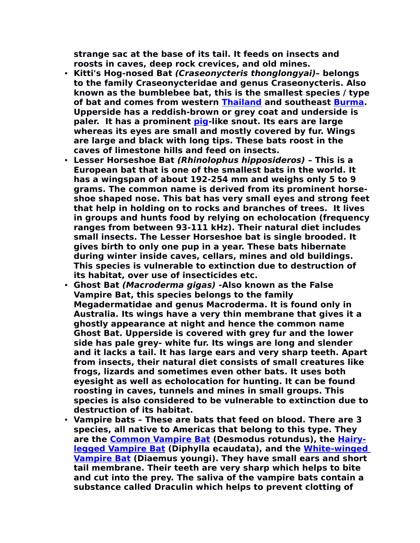**strange sac at the base of its tail. It feeds on insects and roosts in caves, deep rock crevices, and old mines.** 

- **Kitti's Hog-nosed Bat (Craseonycteris thonglongyai)– belongs to the family Craseonycteridae and genus Craseonycteris. Also known as the bumblebee bat, this is the smallest species / type of bat and comes from western [Thailand](http://en.wikipedia.org/wiki/Thailand) and southeast [Burma.](http://en.wikipedia.org/wiki/Burma) Upperside has a reddish-brown or grey coat and underside is paler. It has a prominent [pig-](http://en.wikipedia.org/wiki/Pig)like snout. Its ears are large whereas its eyes are small and mostly covered by fur. Wings are large and black with long tips. These bats roost in the caves of limestone hills and feed on insects.**
- **Lesser Horseshoe Bat (Rhinolophus hipposideros) This is a European bat that is one of the smallest bats in the world. It has a wingspan of about 192-254 mm and weighs only 5 to 9 grams. The common name is derived from its prominent horseshoe shaped nose. This bat has very small eyes and strong feet that help in holding on to rocks and branches of trees. It lives in groups and hunts food by relying on echolocation (frequency ranges from between 93-111 kHz). Their natural diet includes small insects. The Lesser Horseshoe bat is single brooded. It gives birth to only one pup in a year. These bats hibernate during winter inside caves, cellars, mines and old buildings. This species is vulnerable to extinction due to destruction of its habitat, over use of insecticides etc.**
- **Ghost Bat (Macroderma gigas) -Also known as the False Vampire Bat, this species belongs to the family Megadermatidae and genus Macroderma. It is found only in Australia. Its wings have a very thin membrane that gives it a ghostly appearance at night and hence the common name Ghost Bat. Upperside is covered with grey fur and the lower side has pale grey- white fur. Its wings are long and slender and it lacks a tail. It has large ears and very sharp teeth. Apart from insects, their natural diet consists of small creatures like frogs, lizards and sometimes even other bats. It uses both eyesight as well as echolocation for hunting. It can be found roosting in caves, tunnels and mines in small groups. This species is also considered to be vulnerable to extinction due to destruction of its habitat.**
- **Vampire bats These are bats that feed on blood. There are 3 species, all native to Americas that belong to this type. They are the [Common Vampire Bat](http://en.wikipedia.org/wiki/Common_Vampire_Bat) (Desmodus rotundus), the [Hairy](http://en.wikipedia.org/wiki/Hairy-legged_Vampire_Bat)[legged Vampire Bat](http://en.wikipedia.org/wiki/Hairy-legged_Vampire_Bat) (Diphylla ecaudata), and the [White-winged](http://en.wikipedia.org/wiki/White-winged_Vampire_Bat) [Vampire Bat](http://en.wikipedia.org/wiki/White-winged_Vampire_Bat) (Diaemus youngi). They have small ears and short tail membrane. Their teeth are very sharp which helps to bite and cut into the prey. The saliva of the vampire bats contain a substance called Draculin which helps to prevent clotting of**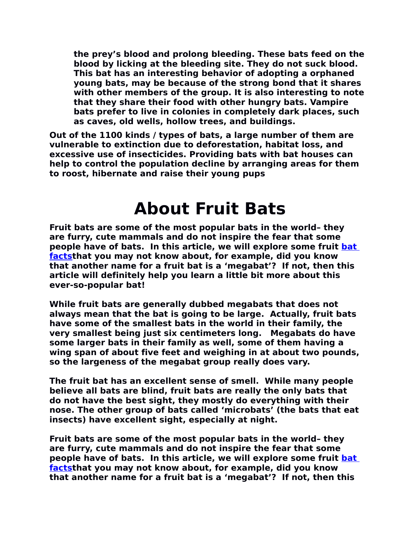**the prey's blood and prolong bleeding. These bats feed on the blood by licking at the bleeding site. They do not suck blood. This bat has an interesting behavior of adopting a orphaned young bats, may be because of the strong bond that it shares with other members of the group. It is also interesting to note that they share their food with other hungry bats. Vampire bats prefer to live in colonies in completely dark places, such as caves, old wells, hollow trees, and buildings.** 

**Out of the 1100 kinds / types of bats, a large number of them are vulnerable to extinction due to deforestation, habitat loss, and excessive use of insecticides. Providing bats with bat houses can help to control the population decline by arranging areas for them to roost, hibernate and raise their young pups**

#### **About Fruit Bats**

**Fruit bats are some of the most popular bats in the world– they are furry, cute mammals and do not inspire the fear that some people have of bats. In this article, we will explore some fruit [bat](http://www.about-bats.com/index.html) [factst](http://www.about-bats.com/index.html)hat you may not know about, for example, did you know that another name for a fruit bat is a 'megabat'? If not, then this article will definitely help you learn a little bit more about this ever-so-popular bat!**

**While fruit bats are generally dubbed megabats that does not always mean that the bat is going to be large. Actually, fruit bats have some of the smallest bats in the world in their family, the very smallest being just six centimeters long. Megabats do have some larger bats in their family as well, some of them having a wing span of about five feet and weighing in at about two pounds, so the largeness of the megabat group really does vary.**

**The fruit bat has an excellent sense of smell. While many people believe all bats are blind, fruit bats are really the only bats that do not have the best sight, they mostly do everything with their nose. The other group of bats called 'microbats' (the bats that eat insects) have excellent sight, especially at night.**

**Fruit bats are some of the most popular bats in the world– they are furry, cute mammals and do not inspire the fear that some people have of bats. In this article, we will explore some fruit [bat](http://www.about-bats.com/index.html) [factst](http://www.about-bats.com/index.html)hat you may not know about, for example, did you know that another name for a fruit bat is a 'megabat'? If not, then this**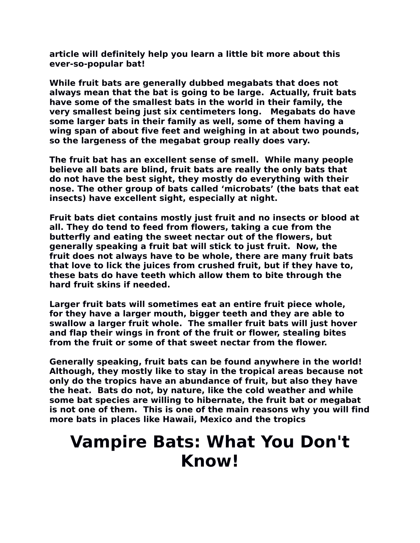**article will definitely help you learn a little bit more about this ever-so-popular bat!**

**While fruit bats are generally dubbed megabats that does not always mean that the bat is going to be large. Actually, fruit bats have some of the smallest bats in the world in their family, the very smallest being just six centimeters long. Megabats do have some larger bats in their family as well, some of them having a wing span of about five feet and weighing in at about two pounds, so the largeness of the megabat group really does vary.**

**The fruit bat has an excellent sense of smell. While many people believe all bats are blind, fruit bats are really the only bats that do not have the best sight, they mostly do everything with their nose. The other group of bats called 'microbats' (the bats that eat insects) have excellent sight, especially at night.**

**Fruit bats diet contains mostly just fruit and no insects or blood at all. They do tend to feed from flowers, taking a cue from the butterfly and eating the sweet nectar out of the flowers, but generally speaking a fruit bat will stick to just fruit. Now, the fruit does not always have to be whole, there are many fruit bats that love to lick the juices from crushed fruit, but if they have to, these bats do have teeth which allow them to bite through the hard fruit skins if needed.**

**Larger fruit bats will sometimes eat an entire fruit piece whole, for they have a larger mouth, bigger teeth and they are able to swallow a larger fruit whole. The smaller fruit bats will just hover and flap their wings in front of the fruit or flower, stealing bites from the fruit or some of that sweet nectar from the flower.**

**Generally speaking, fruit bats can be found anywhere in the world! Although, they mostly like to stay in the tropical areas because not only do the tropics have an abundance of fruit, but also they have the heat. Bats do not, by nature, like the cold weather and while some bat species are willing to hibernate, the fruit bat or megabat is not one of them. This is one of the main reasons why you will find more bats in places like Hawaii, Mexico and the tropics**

#### **Vampire Bats: What You Don't Know!**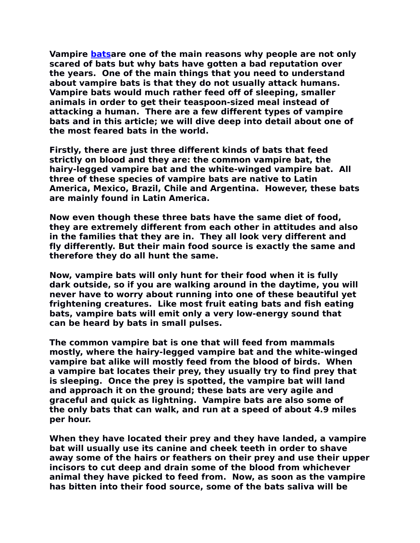**Vampire [batsa](http://www.about-bats.com/index.html)re one of the main reasons why people are not only scared of bats but why bats have gotten a bad reputation over the years. One of the main things that you need to understand about vampire bats is that they do not usually attack humans. Vampire bats would much rather feed off of sleeping, smaller animals in order to get their teaspoon-sized meal instead of attacking a human. There are a few different types of vampire bats and in this article; we will dive deep into detail about one of the most feared bats in the world.**

**Firstly, there are just three different kinds of bats that feed strictly on blood and they are: the common vampire bat, the hairy-legged vampire bat and the white-winged vampire bat. All three of these species of vampire bats are native to Latin America, Mexico, Brazil, Chile and Argentina. However, these bats are mainly found in Latin America.**

**Now even though these three bats have the same diet of food, they are extremely different from each other in attitudes and also in the families that they are in. They all look very different and fly differently. But their main food source is exactly the same and therefore they do all hunt the same.**

**Now, vampire bats will only hunt for their food when it is fully dark outside, so if you are walking around in the daytime, you will never have to worry about running into one of these beautiful yet frightening creatures. Like most fruit eating bats and fish eating bats, vampire bats will emit only a very low-energy sound that can be heard by bats in small pulses.**

**The common vampire bat is one that will feed from mammals mostly, where the hairy-legged vampire bat and the white-winged vampire bat alike will mostly feed from the blood of birds. When a vampire bat locates their prey, they usually try to find prey that is sleeping. Once the prey is spotted, the vampire bat will land and approach it on the ground; these bats are very agile and graceful and quick as lightning. Vampire bats are also some of the only bats that can walk, and run at a speed of about 4.9 miles per hour.**

**When they have located their prey and they have landed, a vampire bat will usually use its canine and cheek teeth in order to shave away some of the hairs or feathers on their prey and use their upper incisors to cut deep and drain some of the blood from whichever animal they have picked to feed from. Now, as soon as the vampire has bitten into their food source, some of the bats saliva will be**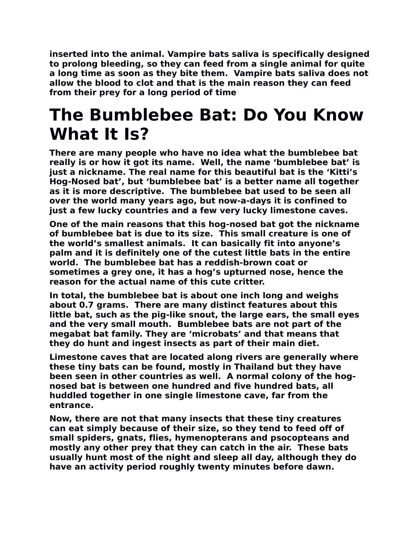**inserted into the animal. Vampire bats saliva is specifically designed to prolong bleeding, so they can feed from a single animal for quite a long time as soon as they bite them. Vampire bats saliva does not allow the blood to clot and that is the main reason they can feed from their prey for a long period of time**

#### **The Bumblebee Bat: Do You Know What It Is?**

**There are many people who have no idea what the bumblebee bat really is or how it got its name. Well, the name 'bumblebee bat' is just a nickname. The real name for this beautiful bat is the 'Kitti's Hog-Nosed bat', but 'bumblebee bat' is a better name all together as it is more descriptive. The bumblebee bat used to be seen all over the world many years ago, but now-a-days it is confined to just a few lucky countries and a few very lucky limestone caves.**

**One of the main reasons that this hog-nosed bat got the nickname of bumblebee bat is due to its size. This small creature is one of the world's smallest animals. It can basically fit into anyone's palm and it is definitely one of the cutest little bats in the entire world. The bumblebee bat has a reddish-brown coat or sometimes a grey one, it has a hog's upturned nose, hence the reason for the actual name of this cute critter.**

**In total, the bumblebee bat is about one inch long and weighs about 0.7 grams. There are many distinct features about this little bat, such as the pig-like snout, the large ears, the small eyes and the very small mouth. Bumblebee bats are not part of the megabat bat family. They are 'microbats' and that means that they do hunt and ingest insects as part of their main diet.**

**Limestone caves that are located along rivers are generally where these tiny bats can be found, mostly in Thailand but they have been seen in other countries as well. A normal colony of the hognosed bat is between one hundred and five hundred bats, all huddled together in one single limestone cave, far from the entrance.**

**Now, there are not that many insects that these tiny creatures can eat simply because of their size, so they tend to feed off of small spiders, gnats, flies, hymenopterans and psocopteans and mostly any other prey that they can catch in the air. These bats usually hunt most of the night and sleep all day, although they do have an activity period roughly twenty minutes before dawn.**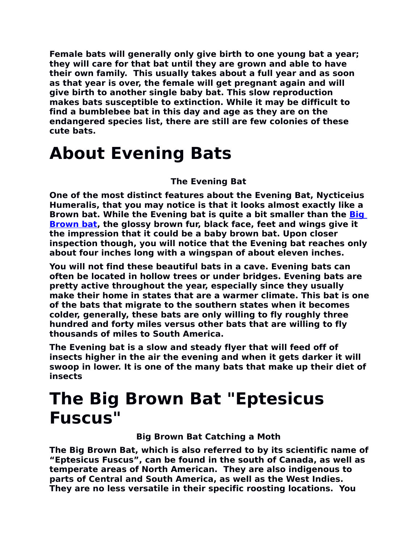**Female bats will generally only give birth to one young bat a year; they will care for that bat until they are grown and able to have their own family. This usually takes about a full year and as soon as that year is over, the female will get pregnant again and will give birth to another single baby bat. This slow reproduction makes bats susceptible to extinction. While it may be difficult to find a bumblebee bat in this day and age as they are on the endangered species list, there are still are few colonies of these cute bats.**

#### **About Evening Bats**

#### **The Evening Bat**

**One of the most distinct features about the Evening Bat, Nycticeius Humeralis, that you may notice is that it looks almost exactly like a Brown bat. While the Evening bat is quite a bit smaller than the [Big](http://www.about-bats.com/big-brown-bats.html) [Brown bat,](http://www.about-bats.com/big-brown-bats.html) the glossy brown fur, black face, feet and wings give it the impression that it could be a baby brown bat. Upon closer inspection though, you will notice that the Evening bat reaches only about four inches long with a wingspan of about eleven inches.** 

**You will not find these beautiful bats in a cave. Evening bats can often be located in hollow trees or under bridges. Evening bats are pretty active throughout the year, especially since they usually make their home in states that are a warmer climate. This bat is one of the bats that migrate to the southern states when it becomes colder, generally, these bats are only willing to fly roughly three hundred and forty miles versus other bats that are willing to fly thousands of miles to South America.**

**The Evening bat is a slow and steady flyer that will feed off of insects higher in the air the evening and when it gets darker it will swoop in lower. It is one of the many bats that make up their diet of insects**

#### **The Big Brown Bat "Eptesicus Fuscus"**

**Big Brown Bat Catching a Moth** 

**The Big Brown Bat, which is also referred to by its scientific name of "Eptesicus Fuscus", can be found in the south of Canada, as well as temperate areas of North American. They are also indigenous to parts of Central and South America, as well as the West Indies. They are no less versatile in their specific roosting locations. You**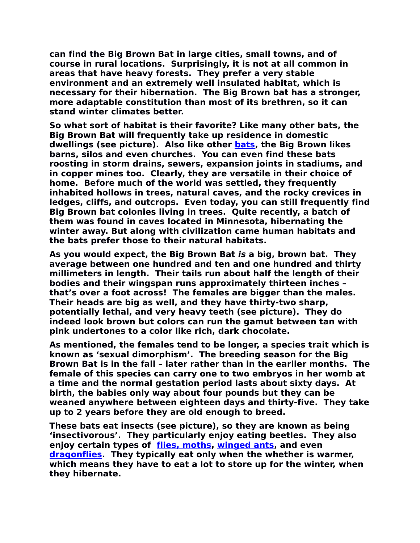**can find the Big Brown Bat in large cities, small towns, and of course in rural locations. Surprisingly, it is not at all common in areas that have heavy forests. They prefer a very stable environment and an extremely well insulated habitat, which is necessary for their hibernation. The Big Brown bat has a stronger, more adaptable constitution than most of its brethren, so it can stand winter climates better.**

**So what sort of habitat is their favorite? Like many other bats, the Big Brown Bat will frequently take up residence in domestic dwellings (see picture). Also like other [bats,](http://www.about-bats.com/index.html) the Big Brown likes barns, silos and even churches. You can even find these bats roosting in storm drains, sewers, expansion joints in stadiums, and in copper mines too. Clearly, they are versatile in their choice of home. Before much of the world was settled, they frequently inhabited hollows in trees, natural caves, and the rocky crevices in ledges, cliffs, and outcrops. Even today, you can still frequently find Big Brown bat colonies living in trees. Quite recently, a batch of them was found in caves located in Minnesota, hibernating the winter away. But along with civilization came human habitats and the bats prefer those to their natural habitats.**

**As you would expect, the Big Brown Bat is a big, brown bat. They average between one hundred and ten and one hundred and thirty millimeters in length. Their tails run about half the length of their bodies and their wingspan runs approximately thirteen inches – that's over a foot across! The females are bigger than the males. Their heads are big as well, and they have thirty-two sharp, potentially lethal, and very heavy teeth (see picture). They do indeed look brown but colors can run the gamut between tan with pink undertones to a color like rich, dark chocolate.**

**As mentioned, the females tend to be longer, a species trait which is known as 'sexual dimorphism'. The breeding season for the Big Brown Bat is in the fall – later rather than in the earlier months. The female of this species can carry one to two embryos in her womb at a time and the normal gestation period lasts about sixty days. At birth, the babies only way about four pounds but they can be weaned anywhere between eighteen days and thirty-five. They take up to 2 years before they are old enough to breed.**

**These bats eat insects (see picture), so they are known as being 'insectivorous'. They particularly enjoy eating beetles. They also enjoy certain types of [flies, moths,](http://www.thebutterflysite.com/) [winged ants,](http://www.live-ants.com/) and even [dragonflies.](http://www.dragonfly-site.com/) They typically eat only when the whether is warmer, which means they have to eat a lot to store up for the winter, when they hibernate.**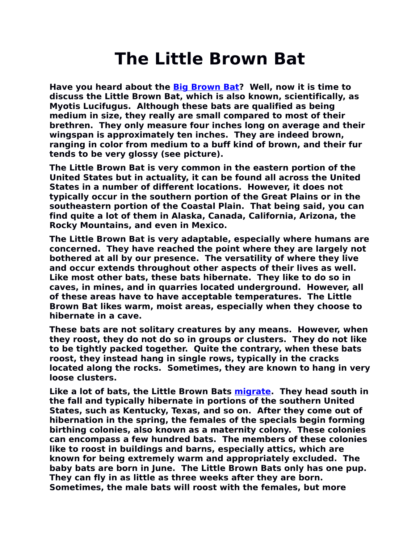### **The Little Brown Bat**

**Have you heard about the [Big Brown Bat?](http://www.about-bats.com/big-brown-bats.html) Well, now it is time to discuss the Little Brown Bat, which is also known, scientifically, as Myotis Lucifugus. Although these bats are qualified as being medium in size, they really are small compared to most of their brethren. They only measure four inches long on average and their wingspan is approximately ten inches. They are indeed brown, ranging in color from medium to a buff kind of brown, and their fur tends to be very glossy (see picture).**

**The Little Brown Bat is very common in the eastern portion of the United States but in actuality, it can be found all across the United States in a number of different locations. However, it does not typically occur in the southern portion of the Great Plains or in the southeastern portion of the Coastal Plain. That being said, you can find quite a lot of them in Alaska, Canada, California, Arizona, the Rocky Mountains, and even in Mexico.**

**The Little Brown Bat is very adaptable, especially where humans are concerned. They have reached the point where they are largely not bothered at all by our presence. The versatility of where they live and occur extends throughout other aspects of their lives as well. Like most other bats, these bats hibernate. They like to do so in caves, in mines, and in quarries located underground. However, all of these areas have to have acceptable temperatures. The Little Brown Bat likes warm, moist areas, especially when they choose to hibernate in a cave.**

**These bats are not solitary creatures by any means. However, when they roost, they do not do so in groups or clusters. They do not like to be tightly packed together. Quite the contrary, when these bats roost, they instead hang in single rows, typically in the cracks located along the rocks. Sometimes, they are known to hang in very loose clusters.**

**Like a lot of bats, the Little Brown Bats [migrate.](http://www.monarch-butterfly.com/monarch-migration.html) They head south in the fall and typically hibernate in portions of the southern United States, such as Kentucky, Texas, and so on. After they come out of hibernation in the spring, the females of the specials begin forming birthing colonies, also known as a maternity colony. These colonies can encompass a few hundred bats. The members of these colonies like to roost in buildings and barns, especially attics, which are known for being extremely warm and appropriately excluded. The baby bats are born in June. The Little Brown Bats only has one pup. They can fly in as little as three weeks after they are born. Sometimes, the male bats will roost with the females, but more**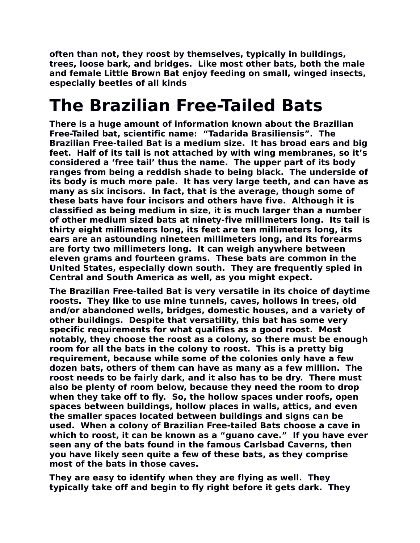**often than not, they roost by themselves, typically in buildings, trees, loose bark, and bridges. Like most other bats, both the male and female Little Brown Bat enjoy feeding on small, winged insects, especially beetles of all kinds**

### **The Brazilian Free-Tailed Bats**

**There is a huge amount of information known about the Brazilian Free-Tailed bat, scientific name: "Tadarida Brasiliensis". The Brazilian Free-tailed Bat is a medium size. It has broad ears and big feet. Half of its tail is not attached by with wing membranes, so it's considered a 'free tail' thus the name. The upper part of its body ranges from being a reddish shade to being black. The underside of its body is much more pale. It has very large teeth, and can have as many as six incisors. In fact, that is the average, though some of these bats have four incisors and others have five. Although it is classified as being medium in size, it is much larger than a number of other medium sized bats at ninety-five millimeters long. Its tail is thirty eight millimeters long, its feet are ten millimeters long, its ears are an astounding nineteen millimeters long, and its forearms are forty two millimeters long. It can weigh anywhere between eleven grams and fourteen grams. These bats are common in the United States, especially down south. They are frequently spied in Central and South America as well, as you might expect.**

**The Brazilian Free-tailed Bat is very versatile in its choice of daytime roosts. They like to use mine tunnels, caves, hollows in trees, old and/or abandoned wells, bridges, domestic houses, and a variety of other buildings. Despite that versatility, this bat has some very specific requirements for what qualifies as a good roost. Most notably, they choose the roost as a colony, so there must be enough room for all the bats in the colony to roost. This is a pretty big requirement, because while some of the colonies only have a few dozen bats, others of them can have as many as a few million. The roost needs to be fairly dark, and it also has to be dry. There must also be plenty of room below, because they need the room to drop when they take off to fly. So, the hollow spaces under roofs, open spaces between buildings, hollow places in walls, attics, and even the smaller spaces located between buildings and signs can be used. When a colony of Brazilian Free-tailed Bats choose a cave in which to roost, it can be known as a "guano cave." If you have ever seen any of the bats found in the famous Carlsbad Caverns, then you have likely seen quite a few of these bats, as they comprise most of the bats in those caves.**

**They are easy to identify when they are flying as well. They typically take off and begin to fly right before it gets dark. They**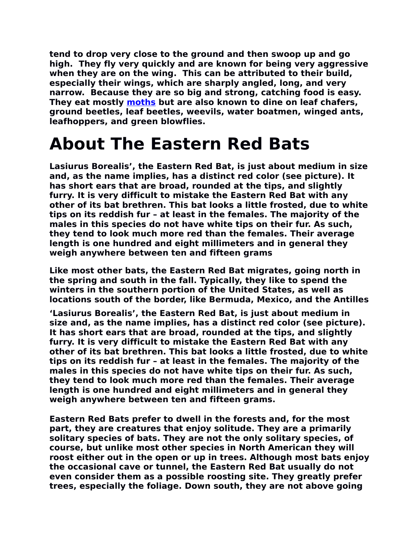**tend to drop very close to the ground and then swoop up and go high. They fly very quickly and are known for being very aggressive when they are on the wing. This can be attributed to their build, especially their wings, which are sharply angled, long, and very narrow. Because they are so big and strong, catching food is easy. They eat mostly [moths](http://www.nature-gifts.com/live-butterfly-kits.html) but are also known to dine on leaf chafers, ground beetles, leaf beetles, weevils, water boatmen, winged ants, leafhoppers, and green blowflies.**

#### **About The Eastern Red Bats**

**Lasiurus Borealis', the Eastern Red Bat, is just about medium in size and, as the name implies, has a distinct red color (see picture). It has short ears that are broad, rounded at the tips, and slightly furry. It is very difficult to mistake the Eastern Red Bat with any other of its bat brethren. This bat looks a little frosted, due to white tips on its reddish fur – at least in the females. The majority of the males in this species do not have white tips on their fur. As such, they tend to look much more red than the females. Their average length is one hundred and eight millimeters and in general they weigh anywhere between ten and fifteen grams**

**Like most other bats, the Eastern Red Bat migrates, going north in the spring and south in the fall. Typically, they like to spend the winters in the southern portion of the United States, as well as locations south of the border, like Bermuda, Mexico, and the Antilles**

**'Lasiurus Borealis', the Eastern Red Bat, is just about medium in size and, as the name implies, has a distinct red color (see picture). It has short ears that are broad, rounded at the tips, and slightly furry. It is very difficult to mistake the Eastern Red Bat with any other of its bat brethren. This bat looks a little frosted, due to white tips on its reddish fur – at least in the females. The majority of the males in this species do not have white tips on their fur. As such, they tend to look much more red than the females. Their average length is one hundred and eight millimeters and in general they weigh anywhere between ten and fifteen grams.** 

**Eastern Red Bats prefer to dwell in the forests and, for the most part, they are creatures that enjoy solitude. They are a primarily solitary species of bats. They are not the only solitary species, of course, but unlike most other species in North American they will roost either out in the open or up in trees. Although most bats enjoy the occasional cave or tunnel, the Eastern Red Bat usually do not even consider them as a possible roosting site. They greatly prefer trees, especially the foliage. Down south, they are not above going**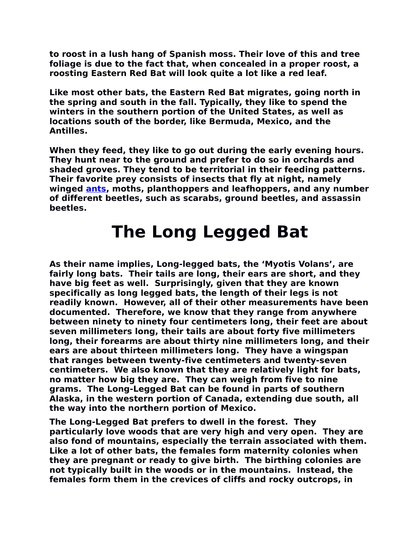**to roost in a lush hang of Spanish moss. Their love of this and tree foliage is due to the fact that, when concealed in a proper roost, a roosting Eastern Red Bat will look quite a lot like a red leaf.**

**Like most other bats, the Eastern Red Bat migrates, going north in the spring and south in the fall. Typically, they like to spend the winters in the southern portion of the United States, as well as locations south of the border, like Bermuda, Mexico, and the Antilles.**

**When they feed, they like to go out during the early evening hours. They hunt near to the ground and prefer to do so in orchards and shaded groves. They tend to be territorial in their feeding patterns. Their favorite prey consists of insects that fly at night, namely winged [ants,](http://www.live-ants.com/) moths, planthoppers and leafhoppers, and any number of different beetles, such as scarabs, ground beetles, and assassin beetles.**

#### **The Long Legged Bat**

**As their name implies, Long-legged bats, the 'Myotis Volans', are fairly long bats. Their tails are long, their ears are short, and they have big feet as well. Surprisingly, given that they are known specifically as long legged bats, the length of their legs is not readily known. However, all of their other measurements have been documented. Therefore, we know that they range from anywhere between ninety to ninety four centimeters long, their feet are about seven millimeters long, their tails are about forty five millimeters long, their forearms are about thirty nine millimeters long, and their ears are about thirteen millimeters long. They have a wingspan that ranges between twenty-five centimeters and twenty-seven centimeters. We also known that they are relatively light for bats, no matter how big they are. They can weigh from five to nine grams. The Long-Legged Bat can be found in parts of southern Alaska, in the western portion of Canada, extending due south, all the way into the northern portion of Mexico.**

**The Long-Legged Bat prefers to dwell in the forest. They particularly love woods that are very high and very open. They are also fond of mountains, especially the terrain associated with them. Like a lot of other bats, the females form maternity colonies when they are pregnant or ready to give birth. The birthing colonies are not typically built in the woods or in the mountains. Instead, the females form them in the crevices of cliffs and rocky outcrops, in**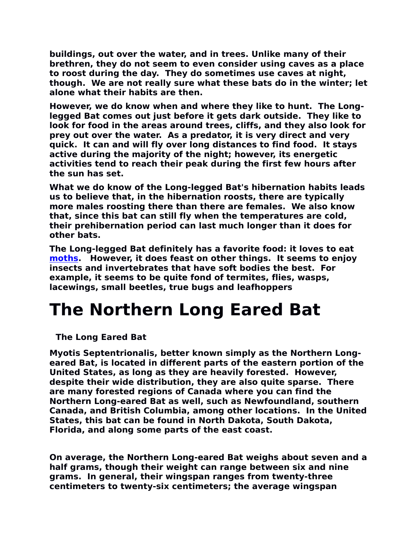**buildings, out over the water, and in trees. Unlike many of their brethren, they do not seem to even consider using caves as a place to roost during the day. They do sometimes use caves at night, though. We are not really sure what these bats do in the winter; let alone what their habits are then.**

**However, we do know when and where they like to hunt. The Longlegged Bat comes out just before it gets dark outside. They like to look for food in the areas around trees, cliffs, and they also look for prey out over the water. As a predator, it is very direct and very quick. It can and will fly over long distances to find food. It stays active during the majority of the night; however, its energetic activities tend to reach their peak during the first few hours after the sun has set.**

**What we do know of the Long-legged Bat's hibernation habits leads us to believe that, in the hibernation roosts, there are typically more males roosting there than there are females. We also know that, since this bat can still fly when the temperatures are cold, their prehibernation period can last much longer than it does for other bats.**

**The Long-legged Bat definitely has a favorite food: it loves to eat [moths.](http://www.butterfly-gifts.com/live-butterfly-kits.html) However, it does feast on other things. It seems to enjoy insects and invertebrates that have soft bodies the best. For example, it seems to be quite fond of termites, flies, wasps, lacewings, small beetles, true bugs and leafhoppers**

### **The Northern Long Eared Bat**

**The Long Eared Bat** 

**Myotis Septentrionalis, better known simply as the Northern Longeared Bat, is located in different parts of the eastern portion of the United States, as long as they are heavily forested. However, despite their wide distribution, they are also quite sparse. There are many forested regions of Canada where you can find the Northern Long-eared Bat as well, such as Newfoundland, southern Canada, and British Columbia, among other locations. In the United States, this bat can be found in North Dakota, South Dakota, Florida, and along some parts of the east coast.**

**On average, the Northern Long-eared Bat weighs about seven and a half grams, though their weight can range between six and nine grams. In general, their wingspan ranges from twenty-three centimeters to twenty-six centimeters; the average wingspan**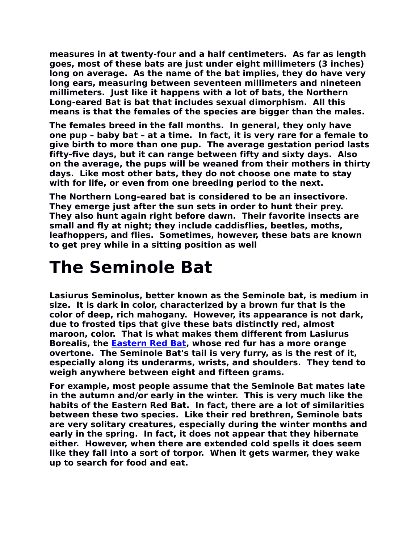**measures in at twenty-four and a half centimeters. As far as length goes, most of these bats are just under eight millimeters (3 inches) long on average. As the name of the bat implies, they do have very long ears, measuring between seventeen millimeters and nineteen millimeters. Just like it happens with a lot of bats, the Northern Long-eared Bat is bat that includes sexual dimorphism. All this means is that the females of the species are bigger than the males.**

**The females breed in the fall months. In general, they only have one pup – baby bat – at a time. In fact, it is very rare for a female to give birth to more than one pup. The average gestation period lasts fifty-five days, but it can range between fifty and sixty days. Also on the average, the pups will be weaned from their mothers in thirty days. Like most other bats, they do not choose one mate to stay with for life, or even from one breeding period to the next.**

**The Northern Long-eared bat is considered to be an insectivore. They emerge just after the sun sets in order to hunt their prey. They also hunt again right before dawn. Their favorite insects are small and fly at night; they include caddisflies, beetles, moths, leafhoppers, and flies. Sometimes, however, these bats are known to get prey while in a sitting position as well**

### **The Seminole Bat**

**Lasiurus Seminolus, better known as the Seminole bat, is medium in size. It is dark in color, characterized by a brown fur that is the color of deep, rich mahogany. However, its appearance is not dark, due to frosted tips that give these bats distinctly red, almost maroon, color. That is what makes them different from Lasiurus Borealis, the [Eastern Red Bat,](http://www.about-bats.com/eastern-red-bats.html) whose red fur has a more orange overtone. The Seminole Bat's tail is very furry, as is the rest of it, especially along its underarms, wrists, and shoulders. They tend to weigh anywhere between eight and fifteen grams.**

**For example, most people assume that the Seminole Bat mates late in the autumn and/or early in the winter. This is very much like the habits of the Eastern Red Bat. In fact, there are a lot of similarities between these two species. Like their red brethren, Seminole bats are very solitary creatures, especially during the winter months and early in the spring. In fact, it does not appear that they hibernate either. However, when there are extended cold spells it does seem like they fall into a sort of torpor. When it gets warmer, they wake up to search for food and eat.**